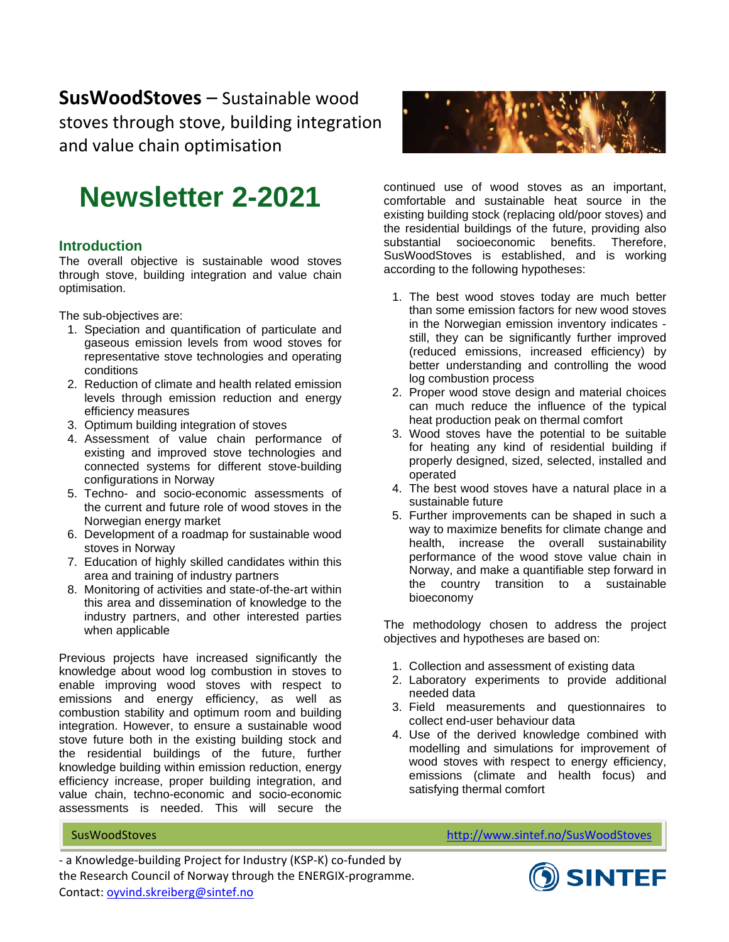**SusWoodStoves** – Sustainable wood stoves through stove, building integration and value chain optimisation



### **Introduction**

The overall objective is sustainable wood stoves through stove, building integration and value chain optimisation.

The sub-objectives are:

- 1. Speciation and quantification of particulate and gaseous emission levels from wood stoves for representative stove technologies and operating conditions
- 2. Reduction of climate and health related emission levels through emission reduction and energy efficiency measures
- 3. Optimum building integration of stoves
- 4. Assessment of value chain performance of existing and improved stove technologies and connected systems for different stove-building configurations in Norway
- 5. Techno- and socio-economic assessments of the current and future role of wood stoves in the Norwegian energy market
- 6. Development of a roadmap for sustainable wood stoves in Norway
- 7. Education of highly skilled candidates within this area and training of industry partners
- 8. Monitoring of activities and state-of-the-art within this area and dissemination of knowledge to the industry partners, and other interested parties when applicable

Previous projects have increased significantly the knowledge about wood log combustion in stoves to enable improving wood stoves with respect to emissions and energy efficiency, as well as combustion stability and optimum room and building integration. However, to ensure a sustainable wood stove future both in the existing building stock and the residential buildings of the future, further knowledge building within emission reduction, energy efficiency increase, proper building integration, and value chain, techno-economic and socio-economic assessments is needed. This will secure the



continued use of wood stoves as an important, comfortable and sustainable heat source in the existing building stock (replacing old/poor stoves) and the residential buildings of the future, providing also substantial socioeconomic benefits. Therefore, SusWoodStoves is established, and is working according to the following hypotheses:

- 1. The best wood stoves today are much better than some emission factors for new wood stoves in the Norwegian emission inventory indicates still, they can be significantly further improved (reduced emissions, increased efficiency) by better understanding and controlling the wood log combustion process
- 2. Proper wood stove design and material choices can much reduce the influence of the typical heat production peak on thermal comfort
- 3. Wood stoves have the potential to be suitable for heating any kind of residential building if properly designed, sized, selected, installed and operated
- 4. The best wood stoves have a natural place in a sustainable future
- 5. Further improvements can be shaped in such a way to maximize benefits for climate change and health, increase the overall sustainability performance of the wood stove value chain in Norway, and make a quantifiable step forward in the country transition to a sustainable bioeconomy

The methodology chosen to address the project objectives and hypotheses are based on:

- 1. Collection and assessment of existing data
- 2. Laboratory experiments to provide additional needed data
- 3. Field measurements and questionnaires to collect end-user behaviour data
- 4. Use of the derived knowledge combined with modelling and simulations for improvement of wood stoves with respect to energy efficiency, emissions (climate and health focus) and satisfying thermal comfort

SusWoodStoves <http://www.sintef.no/SusWoodStoves>



- a Knowledge-building Project for Industry (KSP-K) co-funded by the Research Council of Norway through the ENERGIX-programme. Contact: [oyvind.skreiberg@sintef.no](mailto:oyvind.skreiberg@sintef.no)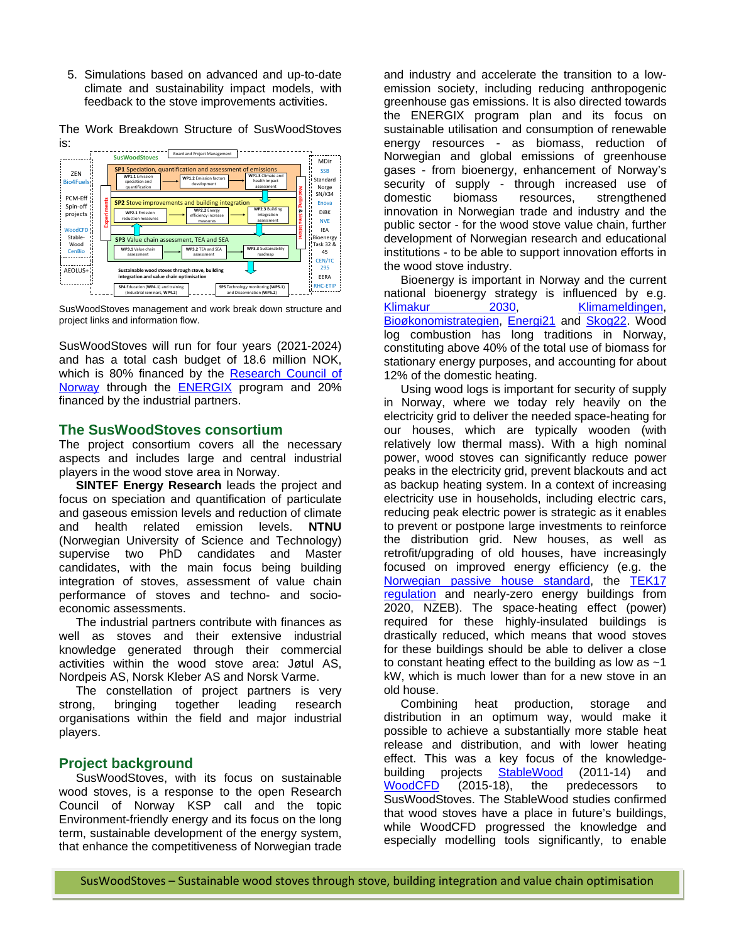5. Simulations based on advanced and up-to-date climate and sustainability impact models, with feedback to the stove improvements activities.

The Work Breakdown Structure of SusWoodStoves is:



SusWoodStoves management and work break down structure and project links and information flow.

SusWoodStoves will run for four years (2021-2024) and has a total cash budget of 18.6 million NOK, which is 80% financed by the Research Council of [Norway](https://www.forskningsradet.no/en/) through the [ENERGIX](https://www.forskningsradet.no/en/about-the-research-council/programmes/energix-stort-program-energi/) program and 20% financed by the industrial partners.

### **The SusWoodStoves consortium**

The project consortium covers all the necessary aspects and includes large and central industrial players in the wood stove area in Norway.

**SINTEF Energy Research** leads the project and focus on speciation and quantification of particulate and gaseous emission levels and reduction of climate and health related emission levels. **NTNU** (Norwegian University of Science and Technology) supervise two PhD candidates and Master candidates, with the main focus being building integration of stoves, assessment of value chain performance of stoves and techno- and socioeconomic assessments.

The industrial partners contribute with finances as well as stoves and their extensive industrial knowledge generated through their commercial activities within the wood stove area: Jøtul AS, Nordpeis AS, Norsk Kleber AS and Norsk Varme.

The constellation of project partners is very strong, bringing together leading research organisations within the field and major industrial players.

### **Project background**

SusWoodStoves, with its focus on sustainable wood stoves, is a response to the open Research Council of Norway KSP call and the topic Environment-friendly energy and its focus on the long term, sustainable development of the energy system, that enhance the competitiveness of Norwegian trade

and industry and accelerate the transition to a lowemission society, including reducing anthropogenic greenhouse gas emissions. It is also directed towards the ENERGIX program plan and its focus on sustainable utilisation and consumption of renewable energy resources - as biomass, reduction of Norwegian and global emissions of greenhouse gases - from bioenergy, enhancement of Norway's security of supply - through increased use of domestic biomass resources, strengthened innovation in Norwegian trade and industry and the public sector - for the wood stove value chain, further development of Norwegian research and educational institutions - to be able to support innovation efforts in the wood stove industry.

Bioenergy is important in Norway and the current national bioenergy strategy is influenced by e.g.<br>Klimakur 2030, Klimameldingen, [Klimakur 2030,](https://www.miljodirektoratet.no/klimakur) [Klimameldingen,](https://www.regjeringen.no/no/dokumenter/meld-st-21-2011-2012/id679374/) [Bioøkonomistrategien,](https://www.regjeringen.no/no/dokumenter/regjeringens-biookonomistrategi-kjente-ressurser--uante-muligheter/id2521997/) [Energi21](http://www.energi21.no/) and [Skog22.](https://www.regjeringen.no/no/dokumenter/skog-22--nasjonal-strategi-for-skog--og-trenaringen/id2363770/) Wood log combustion has long traditions in Norway, constituting above 40% of the total use of biomass for stationary energy purposes, and accounting for about 12% of the domestic heating.

Using wood logs is important for security of supply in Norway, where we today rely heavily on the electricity grid to deliver the needed space-heating for our houses, which are typically wooden (with relatively low thermal mass). With a high nominal power, wood stoves can significantly reduce power peaks in the electricity grid, prevent blackouts and act as backup heating system. In a context of increasing electricity use in households, including electric cars, reducing peak electric power is strategic as it enables to prevent or postpone large investments to reinforce the distribution grid. New houses, as well as retrofit/upgrading of old houses, have increasingly focused on improved energy efficiency (e.g. the [Norwegian passive house standard,](https://www.standard.no/no/nettbutikk/produktkatalogen/Produktpresentasjon/?ProductID=636902) the [TEK17](https://dibk.no/byggereglene/byggteknisk-forskrift-tek17/)  [regulation](https://dibk.no/byggereglene/byggteknisk-forskrift-tek17/) and nearly-zero energy buildings from 2020, NZEB). The space-heating effect (power) required for these highly-insulated buildings is drastically reduced, which means that wood stoves for these buildings should be able to deliver a close to constant heating effect to the building as low as  $\sim$ 1 kW, which is much lower than for a new stove in an old house.

Combining heat production, storage and distribution in an optimum way, would make it possible to achieve a substantially more stable heat release and distribution, and with lower heating effect. This was a key focus of the knowledgebuilding projects **[StableWood](https://www.sintef.no/stablewood/)** (2011-14) and<br>WoodCFD (2015-18), the predecessors to the predecessors to SusWoodStoves. The StableWood studies confirmed that wood stoves have a place in future's buildings, while WoodCFD progressed the knowledge and especially modelling tools significantly, to enable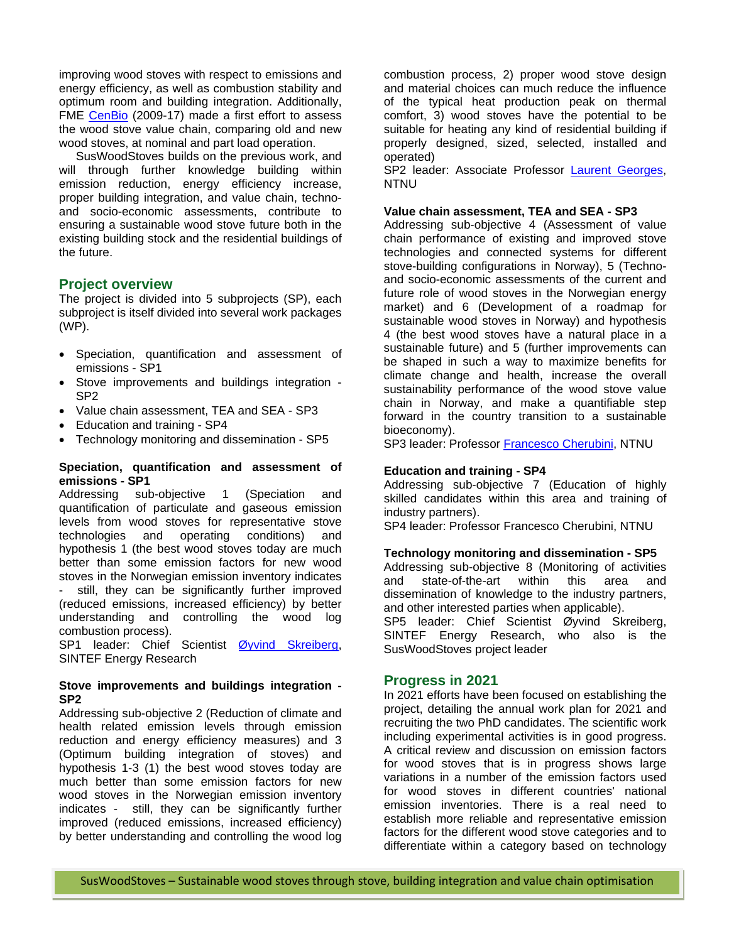improving wood stoves with respect to emissions and energy efficiency, as well as combustion stability and optimum room and building integration. Additionally, FME [CenBio](https://www.sintef.no/cenbio/) (2009-17) made a first effort to assess the wood stove value chain, comparing old and new wood stoves, at nominal and part load operation.

SusWoodStoves builds on the previous work, and will through further knowledge building within emission reduction, energy efficiency increase, proper building integration, and value chain, technoand socio-economic assessments, contribute to ensuring a sustainable wood stove future both in the existing building stock and the residential buildings of the future.

### **Project overview**

The project is divided into 5 subprojects (SP), each subproject is itself divided into several work packages (WP).

- Speciation, quantification and assessment of emissions - SP1
- Stove improvements and buildings integration SP2
- Value chain assessment, TEA and SEA SP3
- Education and training SP4
- Technology monitoring and dissemination SP5

### **Speciation, quantification and assessment of emissions - SP1**

Addressing sub-objective 1 (Speciation and quantification of particulate and gaseous emission levels from wood stoves for representative stove technologies and operating conditions) and hypothesis 1 (the best wood stoves today are much better than some emission factors for new wood stoves in the Norwegian emission inventory indicates still, they can be significantly further improved (reduced emissions, increased efficiency) by better understanding and controlling the wood log combustion process).

SP1 leader: Chief Scientist [Øyvind Skreiberg,](https://www.sintef.no/alle-ansatte/ansatt/?empid=2677) SINTEF Energy Research

### **Stove improvements and buildings integration - SP2**

Addressing sub-objective 2 (Reduction of climate and health related emission levels through emission reduction and energy efficiency measures) and 3 (Optimum building integration of stoves) and hypothesis 1-3 (1) the best wood stoves today are much better than some emission factors for new wood stoves in the Norwegian emission inventory indicates - still, they can be significantly further improved (reduced emissions, increased efficiency) by better understanding and controlling the wood log

combustion process, 2) proper wood stove design and material choices can much reduce the influence of the typical heat production peak on thermal comfort, 3) wood stoves have the potential to be suitable for heating any kind of residential building if properly designed, sized, selected, installed and operated)

SP2 leader: Associate Professor **Laurent Georges**, NTNU

#### **Value chain assessment, TEA and SEA - SP3**

Addressing sub-objective 4 (Assessment of value chain performance of existing and improved stove technologies and connected systems for different stove-building configurations in Norway), 5 (Technoand socio-economic assessments of the current and future role of wood stoves in the Norwegian energy market) and 6 (Development of a roadmap for sustainable wood stoves in Norway) and hypothesis 4 (the best wood stoves have a natural place in a sustainable future) and 5 (further improvements can be shaped in such a way to maximize benefits for climate change and health, increase the overall sustainability performance of the wood stove value chain in Norway, and make a quantifiable step forward in the country transition to a sustainable bioeconomy).

SP3 leader: Professor [Francesco Cherubini,](https://www.ntnu.no/ansatte/francesco.cherubini) NTNU

### **Education and training - SP4**

Addressing sub-objective 7 (Education of highly skilled candidates within this area and training of industry partners).

SP4 leader: Professor Francesco Cherubini, NTNU

### **Technology monitoring and dissemination - SP5**

Addressing sub-objective 8 (Monitoring of activities and state-of-the-art within this area and dissemination of knowledge to the industry partners, and other interested parties when applicable).

SP5 leader: Chief Scientist Øyvind Skreiberg, SINTEF Energy Research, who also is the SusWoodStoves project leader

### **Progress in 2021**

In 2021 efforts have been focused on establishing the project, detailing the annual work plan for 2021 and recruiting the two PhD candidates. The scientific work including experimental activities is in good progress. A critical review and discussion on emission factors for wood stoves that is in progress shows large variations in a number of the emission factors used for wood stoves in different countries' national emission inventories. There is a real need to establish more reliable and representative emission factors for the different wood stove categories and to differentiate within a category based on technology

SusWoodStoves – Sustainable wood stoves through stove, building integration and value chain optimisation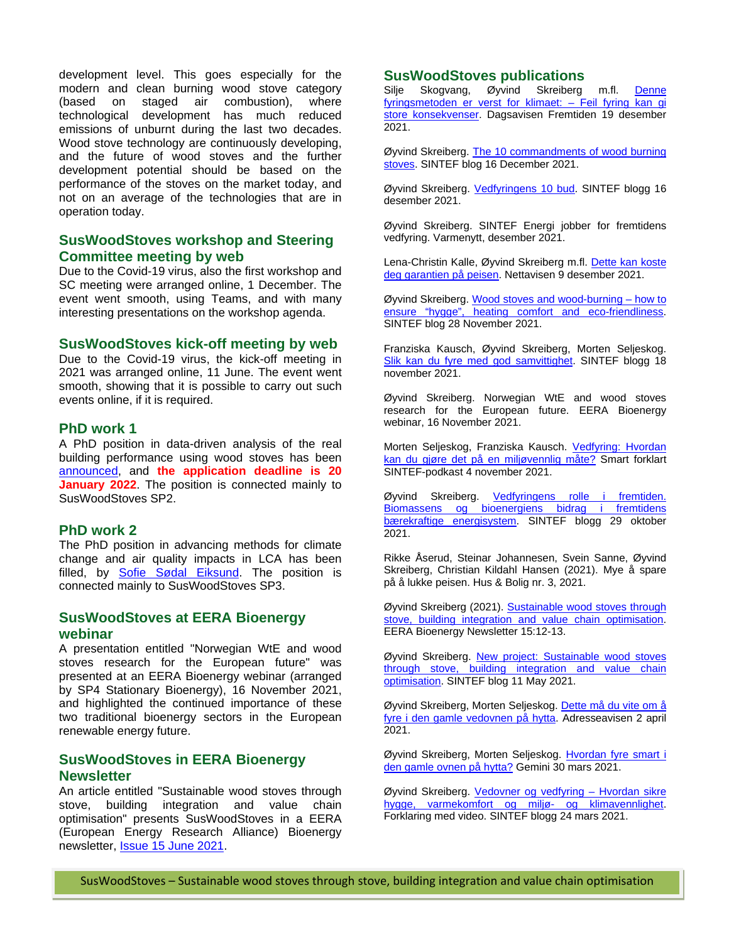development level. This goes especially for the modern and clean burning wood stove category (based on staged air combustion), where technological development has much reduced emissions of unburnt during the last two decades. Wood stove technology are continuously developing, and the future of wood stoves and the further development potential should be based on the performance of the stoves on the market today, and not on an average of the technologies that are in operation today.

### **SusWoodStoves workshop and Steering Committee meeting by web**

Due to the Covid-19 virus, also the first workshop and SC meeting were arranged online, 1 December. The event went smooth, using Teams, and with many interesting presentations on the workshop agenda.

### **SusWoodStoves kick-off meeting by web**

Due to the Covid-19 virus, the kick-off meeting in 2021 was arranged online, 11 June. The event went smooth, showing that it is possible to carry out such events online, if it is required.

### **PhD work 1**

A PhD position in data-driven analysis of the real building performance using wood stoves has been [announced,](https://www.jobbnorge.no/en/available-jobs/job/216489/phd-candidate-in-data-driven-analysis-of-the-real-building-performance-using-wood-stoves) and **the application deadline is 20 January 2022**. The position is connected mainly to SusWoodStoves SP2.

### **PhD work 2**

The PhD position in advancing methods for climate change and air quality impacts in LCA has been filled, by **Sofie Sødal Eiksund**. The position is connected mainly to SusWoodStoves SP3.

### **SusWoodStoves at EERA Bioenergy webinar**

A presentation entitled "Norwegian WtE and wood stoves research for the European future" was presented at an EERA Bioenergy webinar (arranged by SP4 Stationary Bioenergy), 16 November 2021, and highlighted the continued importance of these two traditional bioenergy sectors in the European renewable energy future.

### **SusWoodStoves in EERA Bioenergy Newsletter**

An article entitled "Sustainable wood stoves through stove, building integration and value chain optimisation" presents SusWoodStoves in a EERA (European Energy Research Alliance) Bioenergy newsletter, [Issue 15 June 2021.](https://www.eera-bioenergy.eu/wp-content/uploads/2021/06/eebionews15_spring_summer2021.pdf)

# **SusWoodStoves publications**

Øyvind Skreiberg m.fl. Denne fyringsmetoden er verst for klimaet: - Feil fyring kan gi [store konsekvenser.](https://www.dagsavisen.no/fremtiden/nyheter/2021/12/19/denne-fyringsmetoden-er-verst-for-klimaet-feil-fyring-kan-gi-store-konsekvenser/) Dagsavisen Fremtiden 19 desember 2021.

Øyvind Skreiberg. [The 10 commandments of wood burning](https://blog.sintef.com/sintefenergy/the-10-commandments-of-wood-burning-stoves/)  [stoves.](https://blog.sintef.com/sintefenergy/the-10-commandments-of-wood-burning-stoves/) SINTEF blog 16 December 2021.

Øyvind Skreiberg. [Vedfyringens 10 bud.](https://blogg.sintef.no/sintefenergy-nb/vedfyringens-10-bud/) SINTEF blogg 16 desember 2021.

Øyvind Skreiberg. SINTEF Energi jobber for fremtidens vedfyring. Varmenytt, desember 2021.

Lena-Christin Kalle, Øyvind Skreiberg m.fl. Dette kan koste [deg garantien på peisen.](https://www.nettavisen.no/okonomi/dette-kan-koste-deg-garantien-pa-peisen/s/5-95-353357) Nettavisen 9 desember 2021.

Øyvind Skreiberg[. Wood stoves and wood-burning –](https://blog.sintef.com/sintefenergy/wood-stoves-and-wood-burning-how-to-ensure-hygge-heating-comfort-and-eco-friendliness/) how to ensure "hygge", heating comfort and eco-friendliness. SINTEF blog 28 November 2021.

Franziska Kausch, Øyvind Skreiberg, Morten Seljeskog. [Slik kan du fyre med god samvittighet.](https://blogg.sintef.no/sintefenergy-nb/slik-kan-du-fyre-med-god-samvittighet-fra-hjemmekontoret-under-korona/) SINTEF blogg 18 november 2021.

Øyvind Skreiberg. Norwegian WtE and wood stoves research for the European future. EERA Bioenergy webinar, 16 November 2021.

Morten Seljeskog, Franziska Kausch. [Vedfyring: Hvordan](https://play.acast.com/s/99f75f6e-5473-5ff0-93bc-3a09dbcee261/6183082fa1c9b100149e0b61)  [kan du gjøre det på en miljøvennlig måte?](https://play.acast.com/s/99f75f6e-5473-5ff0-93bc-3a09dbcee261/6183082fa1c9b100149e0b61) Smart forklart SINTEF-podkast 4 november 2021.

Øyvind Skreiberg. Vedfyringens rolle i fremtiden. [Biomassens og bioenergiens bidrag i fremtidens](https://blogg.sintef.no/sintefenergy-nb/vedfyringens-rolle-i-fremtiden/)  [bærekraftige energisystem.](https://blogg.sintef.no/sintefenergy-nb/vedfyringens-rolle-i-fremtiden/) SINTEF blogg 29 oktober 2021.

Rikke Åserud, Steinar Johannesen, Svein Sanne, Øyvind Skreiberg, Christian Kildahl Hansen (2021). Mye å spare på å lukke peisen. Hus & Bolig nr. 3, 2021.

Øyvind Skreiberg (2021). Sustainable wood stoves through [stove, building integration and value chain optimisation.](https://www.eera-bioenergy.eu/wp-content/uploads/2021/06/eebionews15_spring_summer2021.pdf)  EERA Bioenergy Newsletter 15:12-13.

Øyvind Skreiberg. [New project: Sustainable wood stoves](https://blog.sintef.com/sintefenergy/energy-efficiency/new-project-sustainable-wood-stoves-through-stove-building-integration-and-value-chain-optimisation/)  through [stove, building integration and value chain](https://blog.sintef.com/sintefenergy/energy-efficiency/new-project-sustainable-wood-stoves-through-stove-building-integration-and-value-chain-optimisation/)  [optimisation.](https://blog.sintef.com/sintefenergy/energy-efficiency/new-project-sustainable-wood-stoves-through-stove-building-integration-and-value-chain-optimisation/) SINTEF blog 11 May 2021.

Øyvind Skreiberg, Morten Seljeskog. Dette må du vite om å [fyre i den gamle vedovnen på hytta.](https://eur03.safelinks.protection.outlook.com/?url=https%3A%2F%2Fwww.adressa.no%2Fpluss%2Fnyheter%2F2021%2F04%2F02%2FDette-m%25C3%25A5-du-vite-om-%25C3%25A5-fyre-i-den-gamle-vedovnen-p%25C3%25A5-hytta-23744492.ece&data=04%7C01%7CAstridBenedicte.Lundquist%40sintef.no%7Cca9d2493079a4bfb1d9e08d9097908cd%7Ce1f00f39604145b0b309e0210d8b32af%7C1%7C0%7C637551237701285124%7CUnknown%7CTWFpbGZsb3d8eyJWIjoiMC4wLjAwMDAiLCJQIjoiV2luMzIiLCJBTiI6Ik1haWwiLCJXVCI6Mn0%3D%7C1000&sdata=o3NeoHp9yXUQasXtDOFI8FM4mE%2F9rnYNzQzC4XhWtBM%3D&reserved=0) Adresseavisen 2 april 2021.

Øyvind Skreiberg, Morten Seljeskog. [Hvordan fyre smart i](https://eur03.safelinks.protection.outlook.com/?url=https%3A%2F%2Fgemini.no%2F2021%2F03%2Fhvordan-fyre-smart-i-den-gamle-ovnen-pa-hytta%2F&data=04%7C01%7CAstridBenedicte.Lundquist%40sintef.no%7Cca9d2493079a4bfb1d9e08d9097908cd%7Ce1f00f39604145b0b309e0210d8b32af%7C1%7C0%7C637551237701285124%7CUnknown%7CTWFpbGZsb3d8eyJWIjoiMC4wLjAwMDAiLCJQIjoiV2luMzIiLCJBTiI6Ik1haWwiLCJXVCI6Mn0%3D%7C1000&sdata=o7tNMUUNO8fKn5XaNezOD2QjYwpKqc6oqII0F4Me3Qs%3D&reserved=0)  [den gamle ovnen på hytta?](https://eur03.safelinks.protection.outlook.com/?url=https%3A%2F%2Fgemini.no%2F2021%2F03%2Fhvordan-fyre-smart-i-den-gamle-ovnen-pa-hytta%2F&data=04%7C01%7CAstridBenedicte.Lundquist%40sintef.no%7Cca9d2493079a4bfb1d9e08d9097908cd%7Ce1f00f39604145b0b309e0210d8b32af%7C1%7C0%7C637551237701285124%7CUnknown%7CTWFpbGZsb3d8eyJWIjoiMC4wLjAwMDAiLCJQIjoiV2luMzIiLCJBTiI6Ik1haWwiLCJXVCI6Mn0%3D%7C1000&sdata=o7tNMUUNO8fKn5XaNezOD2QjYwpKqc6oqII0F4Me3Qs%3D&reserved=0) Gemini 30 mars 2021.

Øyvind Skreiberg. Vedovner og vedfyring - Hvordan sikre [hygge, varmekomfort og miljø-](https://blogg.sintef.no/sintefenergy-nb/vedovner-vedfyring-hygge-varmekomfort-miljovennlighet/) og klimavennlighet. Forklaring med video. SINTEF blogg 24 mars 2021.

SusWoodStoves – Sustainable wood stoves through stove, building integration and value chain optimisation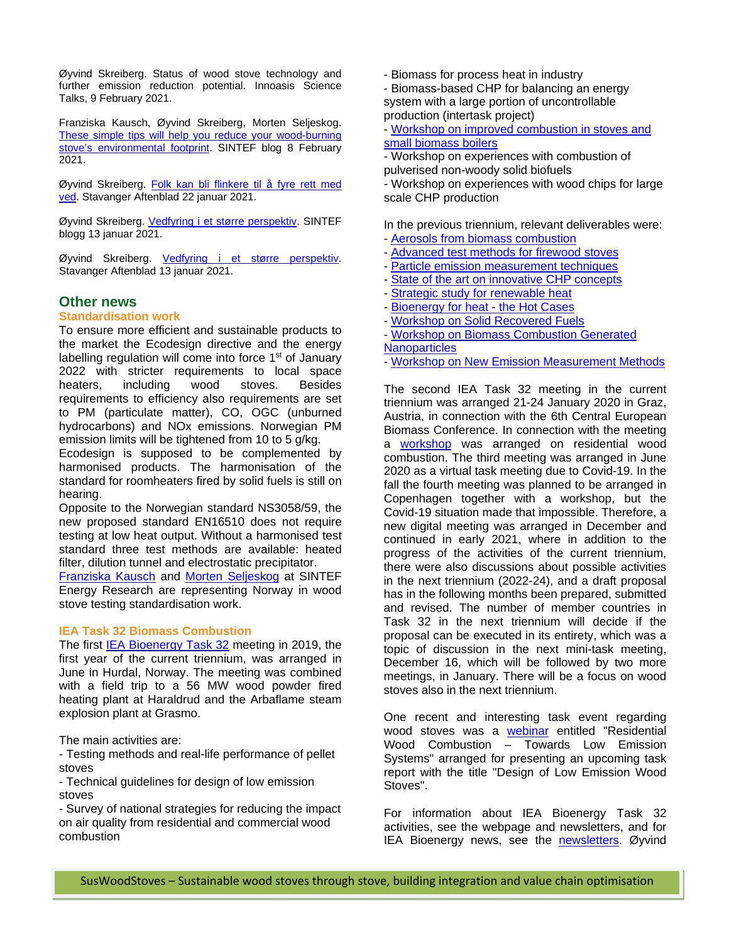Øyvind Skreiberg. Status of wood stove technology and further emission reduction potential. Innoasis Science Talks, 9 February 2021.

Franziska Kausch, Øyvind Skreiberg, Morten Seljeskog. [These simple tips will help you reduce your wood-burning](https://eur03.safelinks.protection.outlook.com/?url=https%3A%2F%2Fblog.sintef.com%2Fsintefenergy%2Fthese-simple-tips-will-help-you-reduce-your-wood-burning-stoves-environmental-footprint-with-video%2F&data=04%7C01%7CAstridBenedicte.Lundquist%40sintef.no%7Cca9d2493079a4bfb1d9e08d9097908cd%7Ce1f00f39604145b0b309e0210d8b32af%7C1%7C0%7C637551237701285124%7CUnknown%7CTWFpbGZsb3d8eyJWIjoiMC4wLjAwMDAiLCJQIjoiV2luMzIiLCJBTiI6Ik1haWwiLCJXVCI6Mn0%3D%7C1000&sdata=UubOGG9EM7WECKyS1SIWBAuhAfwwV5dXRIdJQ2vXFF0%3D&reserved=0)  [stove's environmental footprint.](https://eur03.safelinks.protection.outlook.com/?url=https%3A%2F%2Fblog.sintef.com%2Fsintefenergy%2Fthese-simple-tips-will-help-you-reduce-your-wood-burning-stoves-environmental-footprint-with-video%2F&data=04%7C01%7CAstridBenedicte.Lundquist%40sintef.no%7Cca9d2493079a4bfb1d9e08d9097908cd%7Ce1f00f39604145b0b309e0210d8b32af%7C1%7C0%7C637551237701285124%7CUnknown%7CTWFpbGZsb3d8eyJWIjoiMC4wLjAwMDAiLCJQIjoiV2luMzIiLCJBTiI6Ik1haWwiLCJXVCI6Mn0%3D%7C1000&sdata=UubOGG9EM7WECKyS1SIWBAuhAfwwV5dXRIdJQ2vXFF0%3D&reserved=0) SINTEF blog 8 February 2021.

Øyvind Skreiberg. [Folk kan bli flinkere til å fyre rett med](https://eur03.safelinks.protection.outlook.com/?url=https%3A%2F%2Fwww.aftenbladet.no%2Fmeninger%2Fdebatt%2Fi%2FEpRla2%2Ffolk-kan-bli-flinkere-til-aa-fyre-rett-med-ved&data=04%7C01%7CAstridBenedicte.Lundquist%40sintef.no%7Cca9d2493079a4bfb1d9e08d9097908cd%7Ce1f00f39604145b0b309e0210d8b32af%7C1%7C0%7C637551237701295080%7CUnknown%7CTWFpbGZsb3d8eyJWIjoiMC4wLjAwMDAiLCJQIjoiV2luMzIiLCJBTiI6Ik1haWwiLCJXVCI6Mn0%3D%7C1000&sdata=xlM0WpaDHwEUmg07ENIkfN7yLHK3SZIlh8utbILRMHw%3D&reserved=0)  [ved.](https://eur03.safelinks.protection.outlook.com/?url=https%3A%2F%2Fwww.aftenbladet.no%2Fmeninger%2Fdebatt%2Fi%2FEpRla2%2Ffolk-kan-bli-flinkere-til-aa-fyre-rett-med-ved&data=04%7C01%7CAstridBenedicte.Lundquist%40sintef.no%7Cca9d2493079a4bfb1d9e08d9097908cd%7Ce1f00f39604145b0b309e0210d8b32af%7C1%7C0%7C637551237701295080%7CUnknown%7CTWFpbGZsb3d8eyJWIjoiMC4wLjAwMDAiLCJQIjoiV2luMzIiLCJBTiI6Ik1haWwiLCJXVCI6Mn0%3D%7C1000&sdata=xlM0WpaDHwEUmg07ENIkfN7yLHK3SZIlh8utbILRMHw%3D&reserved=0) Stavanger Aftenblad 22 januar 2021.

Øyvind Skreiberg. [Vedfyring i et større perspektiv.](https://blogg.sintef.no/sintefenergy-nb/vedfyring-i-et-storre-perspektiv/) SINTEF blogg 13 januar 2021.

Øyvind Skreiberg. [Vedfyring i et større perspektiv.](https://eur03.safelinks.protection.outlook.com/?url=https%3A%2F%2Fwww.aftenbladet.no%2Fmeninger%2Fdebatt%2Fi%2FM36rGR%2Fvedfyring-i-et-stoerre-perspektiv&data=04%7C01%7CAstridBenedicte.Lundquist%40sintef.no%7Cca9d2493079a4bfb1d9e08d9097908cd%7Ce1f00f39604145b0b309e0210d8b32af%7C1%7C0%7C637551237701295080%7CUnknown%7CTWFpbGZsb3d8eyJWIjoiMC4wLjAwMDAiLCJQIjoiV2luMzIiLCJBTiI6Ik1haWwiLCJXVCI6Mn0%3D%7C1000&sdata=oJtz4ThR%2FkjAH7%2BPki2rlNbvCBvoZtgICs0W8dKIIWk%3D&reserved=0) Stavanger Aftenblad 13 januar 2021.

### **Other news**

### **Standardisation work**

To ensure more efficient and sustainable products to the market the Ecodesign directive and the energy labelling regulation will come into force 1<sup>st</sup> of January 2022 with stricter requirements to local space<br>heaters. including wood stoves. Besides heaters, including wood stoves. Besides requirements to efficiency also requirements are set to PM (particulate matter), CO, OGC (unburned hydrocarbons) and NOx emissions. Norwegian PM emission limits will be tightened from 10 to 5 g/kg.

Ecodesign is supposed to be complemented by harmonised products. The harmonisation of the standard for roomheaters fired by solid fuels is still on hearing.

Opposite to the Norwegian standard NS3058/59, the new proposed standard EN16510 does not require testing at low heat output. Without a harmonised test standard three test methods are available: heated filter, dilution tunnel and electrostatic precipitator.

[Franziska Kausch](https://www.sintef.no/alle-ansatte/ansatt/2917/) and [Morten Seljeskog](https://www.sintef.no/alle-ansatte/ansatt/1493/) at SINTEF Energy Research are representing Norway in wood stove testing standardisation work.

### **IEA Task 32 Biomass Combustion**

The first [IEA Bioenergy Task 32](http://task32.ieabioenergy.com/) meeting in 2019, the first year of the current triennium, was arranged in June in Hurdal, Norway. The meeting was combined with a field trip to a 56 MW wood powder fired heating plant at Haraldrud and the Arbaflame steam explosion plant at Grasmo.

The main activities are:

- Testing methods and real-life performance of pellet stoves

- Technical guidelines for design of low emission stoves

- Survey of national strategies for reducing the impact on air quality from residential and commercial wood combustion

- Biomass for process heat in industry

- Biomass-based CHP for balancing an energy system with a large portion of uncontrollable production (intertask project)

- [Workshop on improved combustion in stoves and](https://task32.ieabioenergy.com/ieaevent/iea-workshop-residential-wood-combustion/)  [small biomass boilers](https://task32.ieabioenergy.com/ieaevent/iea-workshop-residential-wood-combustion/)

- Workshop on experiences with combustion of pulverised non-woody solid biofuels

- Workshop on experiences with wood chips for large scale CHP production

In the previous triennium, relevant deliverables were:

- [Aerosols from biomass combustion](http://task32.ieabioenergy.com/wp-content/uploads/2017/07/Nussbaumer_IEA_T32_Aerosol-Report_2017_07_14.pdf)
- [Advanced test methods for firewood stoves](http://task32.ieabioenergy.com/wp-content/uploads/2018/10/IEA-Bioenergy-Task-32-Test-Methods.pdf)
- [Particle emission measurement techniques](http://task32.ieabioenergy.com/wp-content/uploads/2018/09/IEA-Paper_PM_determination.pdf)
- [State of the art on innovative CHP concepts](http://task32.ieabioenergy.com/wp-content/uploads/2019/03/T32_CHP_Report_01_2019.pdf)
- [Strategic study for renewable heat](http://task32.ieabioenergy.com/wp-content/uploads/2019/03/Future-of-thermal-biomass-power-final.pdf)
- [Bioenergy for heat -](http://task32.ieabioenergy.com/publications/bioenergy-for-heat-the-hot-cases/) the Hot Cases
- [Workshop on Solid Recovered Fuels](http://task32.ieabioenergy.com/ieaevent/workshop-on-production-and-utilisation-options-for-solid-recovered-fuels/)

- [Workshop on Biomass Combustion Generated](http://task32.ieabioenergy.com/iea-publications/events/workshop-biomass-combustion-generated-nanoparticles-zurich-14-may-2016/)  **[Nanoparticles](http://task32.ieabioenergy.com/iea-publications/events/workshop-biomass-combustion-generated-nanoparticles-zurich-14-may-2016/)** 

- [Workshop on New Emission Measurement Methods](http://task32.ieabioenergy.com/ieaevent/workshop-new-emission-measurement-methods-19-january-2017/)

The second IEA Task 32 meeting in the current triennium was arranged 21-24 January 2020 in Graz, Austria, in connection with the 6th Central European Biomass Conference. In connection with the meeting a **[workshop](https://task32.ieabioenergy.com/ieaevent/iea-workshop-residential-wood-combustion/)** was arranged on residential wood combustion. The third meeting was arranged in June 2020 as a virtual task meeting due to Covid-19. In the fall the fourth meeting was planned to be arranged in Copenhagen together with a workshop, but the Covid-19 situation made that impossible. Therefore, a new digital meeting was arranged in December and continued in early 2021, where in addition to the progress of the activities of the current triennium, there were also discussions about possible activities in the next triennium (2022-24), and a draft proposal has in the following months been prepared, submitted and revised. The number of member countries in Task 32 in the next triennium will decide if the proposal can be executed in its entirety, which was a topic of discussion in the next mini-task meeting, December 16, which will be followed by two more meetings, in January. There will be a focus on wood stoves also in the next triennium.

One recent and interesting task event regarding wood stoves was a [webinar](https://task32.ieabioenergy.com/ieaevent/webinar-residential-wood-combustion-towards-low-emission-systems/) entitled "Residential Wood Combustion – Towards Low Emission Systems" arranged for presenting an upcoming task report with the title "Design of Low Emission Wood Stoves".

For information about IEA Bioenergy Task 32 activities, see the webpage and newsletters, and for IEA Bioenergy news, see the [newsletters.](https://www.ieabioenergy.com/iea-publications/newsletters/) Øyvind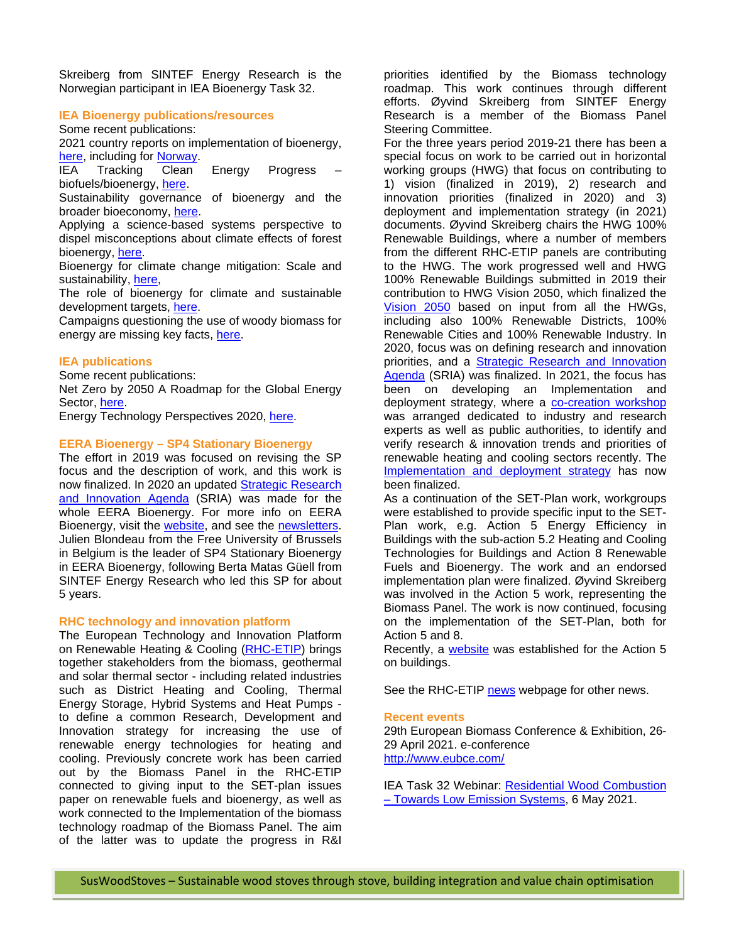Skreiberg from SINTEF Energy Research is the Norwegian participant in IEA Bioenergy Task 32.

#### **IEA Bioenergy publications/resources**

Some recent publications:

2021 country reports on implementation of bioenergy, [here,](https://www.ieabioenergy.com/blog/publications/2021-country-reports/) including for [Norway.](https://www.ieabioenergy.com/wp-content/uploads/2021/11/CountryReport2021_Norway_final.pdf)

IEA Tracking Clean Energy Progress biofuels/bioenergy, [here.](https://www.ieabioenergy.com/blog/publications/iea-tracking-clean-energy-progress-biofuels-bioenergy/)

Sustainability governance of bioenergy and the broader bioeconomy, [here.](https://www.ieabioenergy.com/blog/publications/sustainability-governance-of-bioenergy-and-the-broader-bioeconomy/)

Applying a science-based systems perspective to dispel misconceptions about climate effects of forest bioenergy, [here.](https://www.ieabioenergy.com/blog/publications/applying-a-science-based-systems-perspective-to-dispel-misconceptions-about-climate-effects-of-forest-bioenergy/)

Bioenergy for climate change mitigation: Scale and sustainability, [here,](https://onlinelibrary.wiley.com/doi/10.1111/gcbb.12863)

The role of bioenergy for climate and sustainable development targets, [here.](https://www.ieabioenergy.com/blog/publications/the-role-of-bioenergy-for-climate-and-sustainable-development-targets/)

Campaigns questioning the use of woody biomass for energy are missing key facts, [here.](https://www.ieabioenergy.com/blog/publications/campaigns-questioning-the-use-of-woody-biomass-for-energy-are-missing-key-facts/)

### **IEA publications**

Some recent publications:

Net Zero by 2050 A Roadmap for the Global Energy Sector, [here.](https://www.iea.org/reports/net-zero-by-2050)

Energy Technology Perspectives 2020, [here.](https://www.iea.org/reports/energy-technology-perspectives-2020)

### **EERA Bioenergy – SP4 Stationary Bioenergy**

The effort in 2019 was focused on revising the SP focus and the description of work, and this work is now finalized. In 2020 an updated **Strategic Research** [and Innovation Agenda](http://www.eera-bioenergy.eu/wp-content/uploads/pdf/EERABioenergySRIA2020.pdf) (SRIA) was made for the whole EERA Bioenergy. For more info on EERA Bioenergy, visit the **website**, and see the **newsletters**. Julien Blondeau from the Free University of Brussels in Belgium is the leader of SP4 Stationary Bioenergy in EERA Bioenergy, following Berta Matas Güell from SINTEF Energy Research who led this SP for about 5 years.

### **RHC technology and innovation platform**

The European Technology and Innovation Platform on Renewable Heating & Cooling [\(RHC-ETIP\)](http://www.rhc-platform.org/) brings together stakeholders from the biomass, geothermal and solar thermal sector - including related industries such as District Heating and Cooling, Thermal Energy Storage, Hybrid Systems and Heat Pumps to define a common Research, Development and Innovation strategy for increasing the use of renewable energy technologies for heating and cooling. Previously concrete work has been carried out by the Biomass Panel in the RHC-ETIP connected to giving input to the SET-plan issues paper on renewable fuels and bioenergy, as well as work connected to the Implementation of the biomass technology roadmap of the Biomass Panel. The aim of the latter was to update the progress in R&I priorities identified by the Biomass technology roadmap. This work continues through different efforts. Øyvind Skreiberg from SINTEF Energy Research is a member of the Biomass Panel Steering Committee.

For the three years period 2019-21 there has been a special focus on work to be carried out in horizontal working groups (HWG) that focus on contributing to 1) vision (finalized in 2019), 2) research and innovation priorities (finalized in 2020) and 3) deployment and implementation strategy (in 2021) documents. Øyvind Skreiberg chairs the HWG 100% Renewable Buildings, where a number of members from the different RHC-ETIP panels are contributing to the HWG. The work progressed well and HWG 100% Renewable Buildings submitted in 2019 their contribution to HWG Vision 2050, which finalized the [Vision 2050](https://www.rhc-platform.org/content/uploads/2019/10/RHC-VISION-2050-WEB.pdf) based on input from all the HWGs, including also 100% Renewable Districts, 100% Renewable Cities and 100% Renewable Industry. In 2020, focus was on defining research and innovation priorities, and a **Strategic Research and Innovation** [Agenda](https://www.rhc-platform.org/content/uploads/2020/10/RHC-ETIP-SRIA-2020-WEB.pdf) (SRIA) was finalized. In 2021, the focus has been on developing an Implementation and deployment strategy, where a [co-creation workshop](https://www.rhc-platform.org/event/rhc-etip-co-creation-workshop-trends-and-priorities-in-research-development-for-renewable-heating-and-cooling/) was arranged dedicated to industry and research experts as well as public authorities, to identify and verify research & innovation trends and priorities of renewable heating and cooling sectors recently. The [Implementation and deployment strategy](https://www.rhc-platform.org/content/uploads/2021/10/RHC-Report-MRes-1.pdf) has now been finalized.

As a continuation of the SET-Plan work, workgroups were established to provide specific input to the SET-Plan work, e.g. Action 5 Energy Efficiency in Buildings with the sub-action 5.2 Heating and Cooling Technologies for Buildings and Action 8 Renewable Fuels and Bioenergy. The work and an endorsed implementation plan were finalized. Øyvind Skreiberg was involved in the Action 5 work, representing the Biomass Panel. The work is now continued, focusing on the implementation of the SET-Plan, both for Action 5 and 8.

Recently, a [website](https://www.iwg5-buildings.eu/) was established for the Action 5 on buildings.

See the RHC-ETIP [news](https://www.rhc-platform.org/news/) webpage for other news.

#### **Recent events**

29th European Biomass Conference & Exhibition, 26- 29 April 2021. e-conference <http://www.eubce.com/>

IEA Task 32 Webinar: [Residential Wood Combustion](https://task32.ieabioenergy.com/ieaevent/webinar-residential-wood-combustion-towards-low-emission-systems/)  – [Towards Low Emission Systems,](https://task32.ieabioenergy.com/ieaevent/webinar-residential-wood-combustion-towards-low-emission-systems/) 6 May 2021.